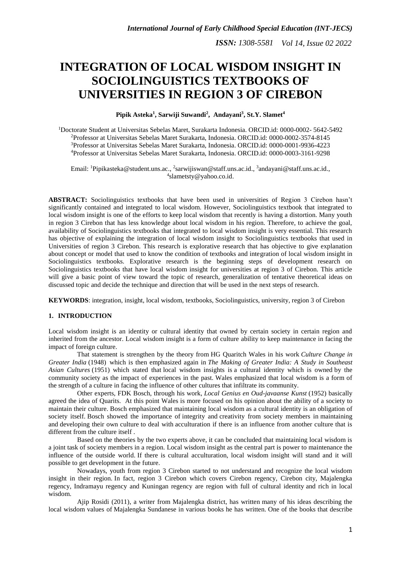# **INTEGRATION OF LOCAL WISDOM INSIGHT IN SOCIOLINGUISTICS TEXTBOOKS OF UNIVERSITIES IN REGION 3 OF CIREBON**

#### **Pipik Asteka<sup>1</sup> , Sarwiji Suwandi<sup>2</sup> , Andayani<sup>3</sup> , St.Y. Slamet<sup>4</sup>**

Doctorate Student at Universitas Sebelas Maret, Surakarta Indonesia. ORCID.id: 0000-0002- 5642-5492 Professor at Universitas Sebelas Maret Surakarta, Indonesia. ORCID.id: 0000-0002-3574-8145 Professor at Universitas Sebelas Maret Surakarta, Indonesia. ORCID.id: 0000-0001-9936-4223 Professor at Universitas Sebelas Maret Surakarta, Indonesia. ORCID.id: 0000-0003-3161-9298

Email: <sup>1</sup>[Pipikasteka@student.uns.ac.](mailto:Pipikasteka@student.uns.ac), <sup>2</sup>[sarwijiswan@staff.uns.ac.id.](mailto:sarwijiswan@staff.uns.ac.id), <sup>3</sup>[andayani@staff.uns.ac.id.](mailto:andayani@staff.uns.ac.id), 4 [slametsty@yahoo.co.id.](mailto:slametsty@yahoo.co.id)

**ABSTRACT:** Sociolinguistics textbooks that have been used in universities of Region 3 Cirebon hasn't significantly contained and integrated to local wisdom. However, Sociolinguistics textbook that integrated to local wisdom insight is one of the efforts to keep local wisdom that recently is having a distortion. Many youth in region 3 Cirebon that has less knowledge about local wisdom in his region. Therefore, to achieve the goal, availability of Sociolinguistics textbooks that integrated to local wisdom insight is very essential. This research has objective of explaining the integration of local wisdom insight to Sociolinguistics textbooks that used in Universities of region 3 Cirebon. This research is explorative research that has objective to give explanation about concept or model that used to know the condition of textbooks and integration of local wisdom insight in Sociolinguistics textbooks. Explorative research is the beginning steps of development research on Sociolinguistics textbooks that have local wisdom insight for universities at region 3 of Cirebon. This article will give a basic point of view toward the topic of research, generalization of tentative theoretical ideas on discussed topic and decide the technique and direction that will be used in the next steps of research.

**KEYWORDS**: integration, insight, local wisdom, textbooks, Sociolinguistics, university, region 3 of Cirebon

#### **1. INTRODUCTION**

Local wisdom insight is an identity or cultural identity that owned by certain society in certain region and inherited from the ancestor. Local wisdom insight is a form of culture ability to keep maintenance in facing the impact of foreign culture.

That statement is strengthen by the theory from HG Quaritch Wales in his work *Culture Change in Greater India* (1948) which is then emphasized again in *The Making of Greater India: A Study in Southeast Asian Cultures* (1951) which stated that local wisdom insights is a cultural identity which is owned by the community society as the impact of experiences in the past. Wales emphasized that local wisdom is a form of the strength of a culture in facing the influence of other cultures that infiltrate its community.

Other experts, FDK Bosch, through his work, *Local Genius en Oud-javaanse Kunst* (1952) basically agreed the idea of Quarits. At this point Wales is more focused on his opinion about the ability of a society to maintain their culture. Bosch emphasized that maintaining local wisdom as a cultural identity is an obligation of society itself. Bosch showed the importance of integrity and creativity from society members in maintaining and developing their own culture to deal with acculturation if there is an influence from another culture that is different from the culture itself .

Based on the theories by the two experts above, it can be concluded that maintaining local wisdom is a joint task of society members in a region. Local wisdom insight as the central part is power to maintenance the influence of the outside world. If there is cultural acculturation, local wisdom insight will stand and it will possible to get development in the future.

Nowadays, youth from region 3 Cirebon started to not understand and recognize the local wisdom insight in their region. In fact, region 3 Cirebon which covers Cirebon regency, Cirebon city, Majalengka regency, Indramayu regency and Kuningan regency are region with full of cultural identity and rich in local wisdom.

Ajip Rosidi (2011), a writer from Majalengka district, has written many of his ideas describing the local wisdom values of Majalengka Sundanese in various books he has written. One of the books that describe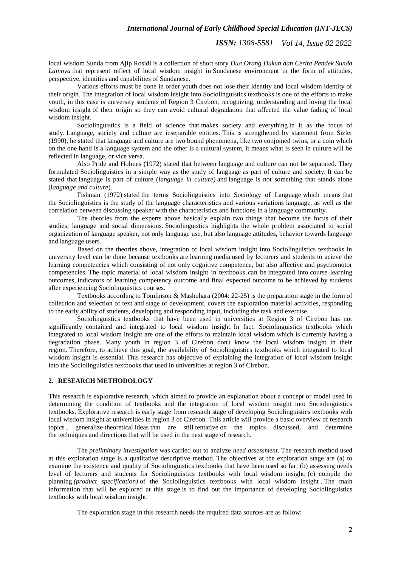#### *International Journal of Early Childhood Special Education (INT-JECS)*

*ISSN: 1308-5581 Vol 14, Issue 02 2022*

local wisdom Sunda from Ajip Rosidi is a collection of short story *Dua Orang Dukun dan Cerita Pendek Sunda Lainnya* that represent reflect of local wisdom insight in Sundanese environment in the form of attitudes, perspective, identities and capabilities of Sundanese.

Various efforts must be done in order youth does not lose their identity and local wisdom identity of their origin. The integration of local wisdom insight into Sociolinguistics textbooks is one of the efforts to make youth, in this case is university students of Region 3 Cirebon, recognizing, understanding and loving the local wisdom insight of their origin so they can avoid cultural degradation that affected the value fading of local wisdom insight.

Sociolinguistics is a field of science that makes society and everything in it as the focus of study. Language, society and culture are inseparable entities. This is strengthened by statement from Sizler (1990), he stated that language and culture are two bound phenomena, like two conjoined twins, or a coin which on the one hand is a language system and the other is a cultural system, it means what is seen in culture will be reflected in language, or vice versa.

Also Pride and Holmes (1972) stated that between language and culture can not be separated. They formulated Sociolinguistics in a simple way as the study of language as part of culture and society. It can be stated that language is part of culture (*language in culture)* and language is not something that stands alone (l*anguage and culture*).

Fishman (1972) stated the terms Sociolinguistics into Sociology of Language which means that the Sociolinguistics is the study of the language characteristics and various variations language, as well as the correlation between discussing speaker with the characteristics and functions in a language community.

The theories from the experts above basically explain two things that become the focus of their studies; language and social dimensions. Sociolinguistics highlights the whole problem associated to social organization of language speaker, not only language use, but also language attitudes, behavior towards language and language users.

Based on the theories above, integration of local wisdom insight into Sociolinguistics textbooks in university level can be done because textbooks are learning media used by lecturers and students to acieve the learning competencies which consisting of not only cognitive competence, but also affective and psychomotor competencies. The topic material of local wisdom insight in textbooks can be integrated into course learning outcomes, indicators of learning competency outcome and final expected outcome to be achieved by students after experiencing Sociolinguistics courses.

Textbooks according to Tomlinson & Mashuhara (2004: 22-25) is the preparation stage in the form of collection and selection of text and stage of development, covers the exploration material activities, responding to the early ability of students, developing and responding input, including the task and exercise.

Sociolinguistics textbooks that have been used in universities at Region 3 of Cirebon has not significantly contained and integrated to local wisdom insight. In fact, Sociolinguistics textbooks which integrated to local wisdom insight are one of the efforts to maintain local wisdom which is currently having a degradation phase. Many youth in region 3 of Cirebon don't know the local wisdom insight in their region. Therefore, to achieve this goal, the availability of Sociolinguistics textbooks which integrated to local wisdom insight is essential. This research has objective of explaining the integration of local wisdom insight into the Sociolinguistics textbooks that used in universities at region 3 of Cirebon.

#### **2. RESEARCH METHODOLOGY**

This research is explorative research, which aimed to provide an explanation about a concept or model used in determining the condition of textbooks and the integration of local wisdom insight into Sociolinguistics textbooks. Explorative research is early stage from research stage of developing Sociolinguistics textbooks with local wisdom insight at universities in region 3 of Cirebon. This article will provide a basic overview of research topics , generalize [theoretical](https://translate.google.com/translate?hl=en&prev=_t&sl=id&tl=en&u=https://id.wikipedia.org/wiki/Teori) [ideas](https://translate.google.com/translate?hl=en&prev=_t&sl=id&tl=en&u=https://id.wikipedia.org/wiki/Teori) that are still [tentative](https://translate.google.com/translate?hl=en&prev=_t&sl=id&tl=en&u=https://id.wikipedia.org/w/index.php%3Ftitle%3DTentatif%26action%3Dedit%26redlink%3D1) on the topics discussed, and determine the [techniques](https://translate.google.com/translate?hl=en&prev=_t&sl=id&tl=en&u=https://id.wikipedia.org/wiki/Teknik) and directions that will be used in the next stage of research.

The *preliminary investigation* was carried out to analyze *need assessment*. The research method used at this exploration stage is a qualitative descriptive method. The objectives at the exploration stage are (a) to examine the existence and quality of Sociolinguistics textbooks that have been used so far; (b) assessing needs level of lecturers and students for Sociolinguistics textbooks with local wisdom insight; (c) compile the planning *(product specification)* of the Sociolinguistics textbooks with local wisdom insight . The main information that will be explored at this stage is to find out the importance of developing Sociolinguistics textbooks with local wisdom insight.

The exploration stage in this research needs the required data sources are as follow: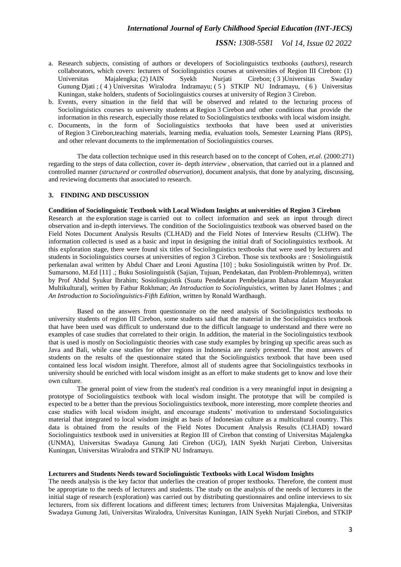- a. Research subjects, consisting of authors or developers of Sociolinguistics textbooks (*authors),* research collaborators, which covers: lecturers of Sociolinguistics courses at universities of Region III Cirebon: (1) Universitas Majalengka; (2) IAIN Syekh Nurjati Cirebon; ( 3 )Universitas Swaday Gunung Djati ; ( 4 ) Universitas Wiralodra Indramayu; ( 5 ) STKIP NU Indramayu, ( 6 ) Universitas Kuningan, stake holders, students of Sociolinguistics courses at university of Region 3 Cirebon.
- b. Events, every situation in the field that will be observed and related to the lecturing process of Sociolinguistics courses to university students at Region 3 Cirebon and other conditions that provide the information in this research, especially those related to Sociolinguistics textbooks with local wisdom insight.
- c. Documents, in the form of Sociolinguistics textbooks that have been used at univeristies of Region 3 Cirebon,teaching materials, learning media, evaluation tools, Semester Learning Plans (RPS), and other relevant documents to the implementation of Sociolinguistics courses.

The data collection technique used in this research based on to the concept of Cohen, *et.al*. (2000:271) regarding to the steps of data collection, cover *in-* depth *interview* , observation, that carried out in a planned and controlled manner *(structured or controlled observation),* document analysis, that done by analyzing, discussing, and reviewing documents that associated to research.

#### **3. FINDING AND DISCUSSION**

#### **Condition of Sociolinguistic Textbook with Local Wisdom Insights at universities of Region 3 Cirebon**

Research at the exploration stage is carried out to collect information and seek an input through direct observation and in-depth interviews. The condition of the Sociolinguistics textbook was observed based on the Field Notes Document Analysis Results (CLHAD) and the Field Notes of Interview Results (CLHW). The information collected is used as a basic and input in designing the initial draft of Sociolinguistics textbook. At this exploration stage, there were found six titles of Sociolinguistics textbooks that were used by lecturers and students in Sociolinguistics courses at universities of region 3 Cirebon. Those six textbooks are : Sosiolinguistik perkenalan awal written by Abdul Chaer and Leoni Agustina [10] ; buku Sosiolinguistik written by Prof. Dr. Sumarsono, M.Ed [11] .; Buku Sosiolinguistik (Sajian, Tujuan, Pendekatan, dan Problem-Problemnya), written by Prof Abdul Syukur Ibrahim; Sosiolinguistik (Suatu Pendekatan Pembelajaran Bahasa dalam Masyarakat Multikultural), written by Fathur Rokhman; *An Introduction to Sociolinguistics*, written by Janet Holmes ; and *An Introduction to Sociolinguistics-Fifth Edition*, written by Ronald Wardhaugh.

Based on the answers from questionnaire on the need analysis of Sociolinguistics textbooks to university students of region III Cirebon, some students said that the material in the Sociolinguistics textbook that have been used was difficult to understand due to the difficult language to understand and there were no examples of case studies that correlated to their origin. In addition, the material in the Sociolinguistics textbook that is used is mostly on Sociolinguistic theories with case study examples by bringing up specific areas such as Java and Bali, while case studies for other regions in Indonesia are rarely presented. The most answers of students on the results of the questionnaire stated that the Sociolinguistics textbook that have been used contained less local wisdom insight. Therefore, almost all of students agree that Sociolinguistics textbooks in university should be enriched with local wisdom insight as an effort to make students get to know and love their own culture.

The general point of view from the student's real condition is a very meaningful input in designing a prototype of Sociolinguistics textbook with local wisdom insight. The prototype that will be compiled is expected to be a better than the previous Sociolinguistics textbook, more interesting, more complete theories and case studies with local wisdom insight, and encourage students' motivation to understand Sociolinguistics material that integrated to local wisdom insight as basis of Indonesian culture as a multicultural country. This data is obtained from the results of the Field Notes Document Analysis Results (CLHAD) toward Sociolinguistics textbook used in universities at Region III of Cirebon that consting of Universitas Majalengka (UNMA), Universitas Swadaya Gunung Jati Cirebon (UGJ), IAIN Syekh Nurjati Cirebon, Universitas Kuningan, Universitas Wiralodra and STKIP NU Indramayu.

#### **Lecturers and Students Needs toward Sociolinguistic Textbooks with Local Wisdom Insights**

The needs analysis is the key factor that underlies the creation of proper textbooks. Therefore, the content must be appropriate to the needs of lecturers and students. The study on the analysis of the needs of lecturers in the initial stage of research (exploration) was carried out by distributing questionnaires and online interviews to six lecturers, from six different locations and different times; lecturers from Universitas Majalengka, Universitas Swadaya Gunung Jati, Universitas Wiralodra, Universitas Kuningan, IAIN Syekh Nurjati Cirebon, and STKIP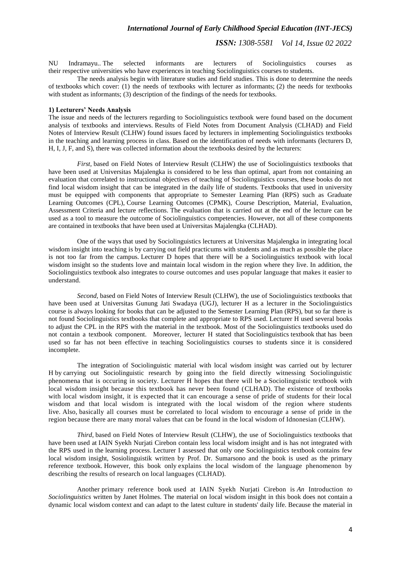NU Indramayu.. The selected informants are lecturers of Sociolinguistics courses as their respective universities who have experiences in teaching Sociolinguistics courses to students.

The needs analysis begin with literature studies and field studies. This is done to determine the needs of textbooks which cover: (1) the needs of textbooks with lecturer as informants; (2) the needs for textbooks with student as informants; (3) description of the findings of the needs for textbooks.

#### **1) Lecturers' Needs Analysis**

The issue and needs of the lecturers regarding to Sociolinguistics textbook were found based on the document analysis of textbooks and interviews. Results of Field Notes from Document Analysis (CLHAD) and Field Notes of Interview Result (CLHW) found issues faced by lecturers in implementing Sociolinguistics textbooks in the teaching and learning process in class. Based on the identification of needs with informants (lecturers D, H, I, J, F, and S), there was collected information about the textbooks desired by the lecturers:

*First,* based on Field Notes of Interview Result (CLHW) the use of Sociolinguistics textbooks that have been used at Universitas Majalengka is considered to be less than optimal, apart from not containing an evaluation that correlated to instructional objectives of teaching of Sociolinguistics courses, these books do not find local wisdom insight that can be integrated in the daily life of students. Textbooks that used in university must be equipped with components that appropriate to Semester Learning Plan (RPS) such as Graduate Learning Outcomes (CPL), Course Learning Outcomes (CPMK), Course Description, Material, Evaluation, Assessment Criteria and lecture reflections. The evaluation that is carried out at the end of the lecture can be used as a tool to measure the outcome of Sociolinguistics competencies. However, not all of these components are contained in textbooks that have been used at Universitas Majalengka (CLHAD).

One of the ways that used by Sociolinguistics lecturers at Universitas Majalengka in integrating local wisdom insight into teaching is by carrying out field practicums with students and as much as possible the place is not too far from the campus. Lecturer D hopes that there will be a Sociolinguistics textbook with local wisdom insight so the students love and maintain local wisdom in the region where they live. In addition, the Sociolinguistics textbook also integrates to course outcomes and uses popular language that makes it easier to understand.

*Second,* based on Field Notes of Interview Result (CLHW), the use of Sociolinguistics textbooks that have been used at Universitas Gunung Jati Swadaya (UGJ), lecturer H as a lecturer in the Sociolinguistics course is always looking for books that can be adjusted to the Semester Learning Plan (RPS), but so far there is not found Sociolinguistics textbooks that complete and appropriate to RPS used. Lecturer H used several books to adjust the CPL in the RPS with the material in the textbook. Most of the Sociolinguistics textbooks used do not contain a textbook component. Moreover, lecturer H stated that Sociolinguistics textbook that has been used so far has not been effective in teaching Sociolinguistics courses to students since it is considered incomplete.

The integration of Sociolinguistic material with local wisdom insight was carried out by lecturer H by carrying out Sociolinguistic research by going into the field directly witnessing Sociolinguistic phenomena that is occuring in society. Lecturer H hopes that there will be a Sociolinguistic textbook with local wisdom insight because this textbook has never been found (CLHAD). The existence of textbooks with local wisdom insight, it is expected that it can encourage a sense of pride of students for their local wisdom and that local wisdom is integrated with the local wisdom of the region where students live. Also, basically all courses must be correlated to local wisdom to encourage a sense of pride in the region because there are many moral values that can be found in the local wisdom of Idnonesian (CLHW).

*Third*, based on Field Notes of Interview Result (CLHW), the use of Sociolinguistics textbooks that have been used at IAIN Syekh Nurjati Cirebon contain less local wisdom insight and is has not integrated with the RPS used in the learning process. Lecturer I assessed that only one Sociolinguistics textbook contains few local wisdom insight, Sosiolinguistik written by Prof. Dr. Sumarsono and the book is used as the primary reference textbook. However, this book only explains the local wisdom of the language phenomenon by describing the results of research on local languages (CLHAD).

Another primary reference book used at IAIN Syekh Nurjati Cirebon is *An* Introduction *to Sociolinguistics* written by Janet Holmes. The material on local wisdom insight in this book does not contain a dynamic local wisdom context and can adapt to the latest culture in students' daily life. Because the material in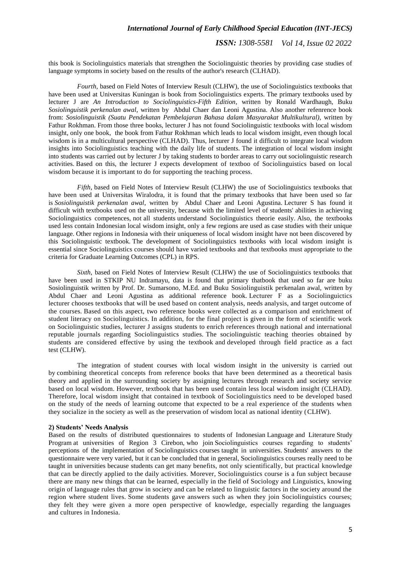#### *International Journal of Early Childhood Special Education (INT-JECS)*

*ISSN: 1308-5581 Vol 14, Issue 02 2022*

this book is Sociolinguistics materials that strengthen the Sociolinguistic theories by providing case studies of language symptoms in society based on the results of the author's research (CLHAD).

*Fourth,* based on Field Notes of Interview Result (CLHW), the use of Sociolinguistics textbooks that have been used at Universitas Kuningan is book from Sociolinguistics experts. The primary textbooks used by lecturer J are *An Introduction to Sociolinguistics-Fifth Edition*, written by Ronald Wardhaugh, Buku *Sosiolinguistik perkenalan awal*, written by Abdul Chaer dan Leoni Agustina. Also another refenrence book from: *Sosiolinguistik (Suatu Pendekatan Pembelajaran Bahasa dalam Masyarakat Multikultural)*, written by Fathur Rokhman. From those three books, lecturer J has not found Sociolinguistic textbooks with local wisdom insight, only one book, the book from Fathur Rokhman which leads to local wisdom insight, even though local wisdom is in a multicultural perspective (CLHAD). Thus, lecturer J found it difficult to integrate local wisdom insights into Sociolinguistics teaching with the daily life of students. The integration of local wisdom insight into students was carried out by lecturer J by taking students to border areas to carry out sociolinguistic research activities. Based on this, the lecturer J expects development of textboo of Sociolinguistics based on local wisdom because it is important to do for supporting the teaching process.

*Fifth,* based on Field Notes of Interview Result (CLHW) the use of Sociolinguistics textbooks that have been used at Universitas Wiralodra, it is found that the primary textbooks that have been used so far is *Sosiolinguistik perkenalan awal*, written by Abdul Chaer and Leoni Agustina. Lecturer S has found it difficult with textbooks used on the university, because with the limited level of students' abilities in achieving Sociolinguistics competences, not all students understand Sociolinguistics theorie easily. Also, the textbooks used less contain Indonesian local wisdom insight, only a few regions are used as case studies with their unique language. Other regions in Indonesia with their uniqueness of local wisdom insight have not been discovered by this Sociolinguistic textbook. The development of Sociolinguistics textbooks with local wisdom insight is essential since Sociolinguistics courses should have varied textbooks and that textbooks must appropriate to the criteria for Graduate Learning Outcomes (CPL) in RPS.

*Sixth*, based on Field Notes of Interview Result (CLHW) the use of Sociolinguistics textbooks that have been used in STKIP NU Indramayu, data is found that primary thatbook that used so far are buku Sosiolinguistik written by Prof. Dr. Sumarsono, M.Ed. and Buku Sosiolinguistik perkenalan awal, written by Abdul Chaer and Leoni Agustina as additional reference book. Lecturer F as a Sociolinguictics lecturer chooses textbooks that will be used based on content analysis, needs analysis, and target outcome of the courses. Based on this aspect, two reference books were collected as a comparison and enrichment of student literacy on Sociolinguistics. In addition, for the final project is given in the form of scientific work on Sociolinguistic studies, lecturer J assigns students to enrich references through national and international reputable journals regarding Sociolinguistics studies. The sociolinguistic teaching theories obtained by students are considered effective by using the textbook and developed through field practice as a fact test (CLHW).

The integration of student courses with local wisdom insight in the university is carried out by combining theoretical concepts from reference books that have been determined as a theoretical basis theory and applied in the surrounding society by assigning lectures through research and society service based on local wisdom. However, textbook that has been used contain less local wisdom insight (CLHAD). Therefore, local wisdom insight that contained in textbook of Sociolinguistics need to be developed based on the study of the needs of learning outcome that expected to be a real experience of the students when they socialize in the society as well as the preservation of wisdom local as national identity (CLHW).

#### **2) Students' Needs Analysis**

Based on the results of distributed questionnaires to students of Indonesian Language and Literature Study Program at universities of Region 3 Cirebon, who join Sociolinguistics courses regarding to students' perceptions of the implementation of Sociolinguistics courses taught in universities. Students' answers to the questionnaire were very varied, but it can be concluded that in general, Sociolinguistics courses really need to be taught in universities because students can get many benefits, not only scientifically, but practical knowledge that can be directly applied to the daily activities. Morever, Sociolinguistics course is a fun subject because there are many new things that can be learned, especially in the field of Sociology and Linguistics, knowing origin of language rules that grow in society and can be related to linguistic factors in the society around the region where student lives. Some students gave answers such as when they join Sociolinguistics courses; they felt they were given a more open perspective of knowledge, especially regarding the languages and cultures in Indonesia.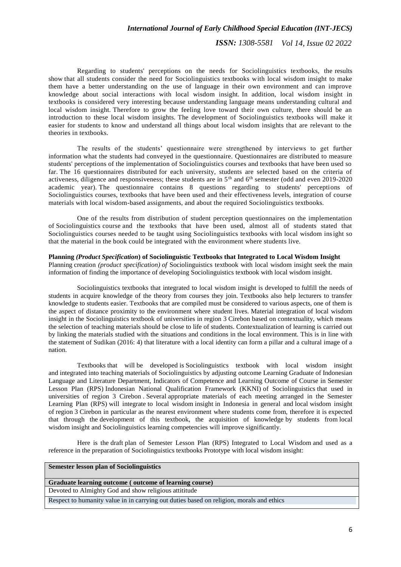#### *International Journal of Early Childhood Special Education (INT-JECS)*

*ISSN: 1308-5581 Vol 14, Issue 02 2022*

Regarding to students' perceptions on the needs for Sociolinguistics textbooks, the results show that all students consider the need for Sociolinguistics textbooks with local wisdom insight to make them have a better understanding on the use of language in their own environment and can improve knowledge about social interactions with local wisdom insight. In addition, local wisdom insight in textbooks is considered very interesting because understanding language means understanding cultural and local wisdom insight. Therefore to grow the feeling love toward their own culture, there should be an introduction to these local wisdom insights. The development of Sociolinguistics textbooks will make it easier for students to know and understand all things about local wisdom insights that are relevant to the theories in textbooks.

The results of the students' questionnaire were strengthened by interviews to get further information what the students had conveyed in the questionnaire. Questionnaires are distributed to measure students' perceptions of the implementation of Sociolinguistics courses and textbooks that have been used so far. The 16 questionnaires distributed for each university, students are selected based on the criteria of activeness, diligence and responsiveness; these students are in  $5<sup>th</sup>$  and  $6<sup>th</sup>$  semester (odd and even 2019-2020) academic year). The questionnaire contains 8 questions regarding to students' perceptions of Sociolinguistics courses, textbooks that have been used and their effectiveness levels, integration of course materials with local wisdom-based assignments, and about the required Sociolinguistics textbooks.

One of the results from distribution of student perception questionnaires on the implementation of Sociolinguistics course and the textbooks that have been used, almost all of students stated that Sociolinguistics courses needed to be taught using Sociolinguistics textbooks with local wisdom insight so that the material in the book could be integrated with the environment where students live.

#### **Planning** *(Product Specification***) of Sociolinguistic Textbooks that Integrated to Local Wisdom Insight**

Planning creation *(product specification) of* Sociolinguistics textbook with local wisdom insight seek the main information of finding the importance of developing Sociolinguistics textbook with local wisdom insight.

Sociolinguistics textbooks that integrated to local wisdom insight is developed to fulfill the needs of students in acquire knowledge of the theory from courses they join. Textbooks also help lecturers to transfer knowledge to students easier. Textbooks that are compiled must be considered to various aspects, one of them is the aspect of distance proximity to the environment where student lives. Material integration of local wisdom insight in the Sociolinguistics textbook of universities in region 3 Cirebon based on contextuality, which means the selection of teaching materials should be close to life of students. Contextualization of learning is carried out by linking the materials studied with the situations and conditions in the local environment. This is in line with the statement of Sudikan (2016: 4) that literature with a local identity can form a pillar and a cultural image of a nation.

Textbooks that will be developed is Sociolinguistics textbook with local wisdom insight and integrated into teaching materials of Sociolinguistics by adjusting outcome Learning Graduate of Indonesian Language and Literature Department, Indicators of Competence and Learning Outcome of Course in Semester Lesson Plan (RPS) Indonesian National Qualification Framework (KKNI) of Sociolinguistics that used in universities of region 3 Cirebon . Several appropriate materials of each meeting arranged in the Semester Learning Plan (RPS) will integrate to local wisdom insight in Indonesia in general and local wisdom insight of region 3 Cirebon in particular as the nearest environment where students come from, therefore it is expected that through the development of this textbook, the acquisition of knowledge by students from local wisdom insight and Sociolinguistics learning competencies will improve significantly.

Here is the draft plan of Semester Lesson Plan (RPS) Integrated to Local Wisdom and used as a reference in the preparation of Sociolinguistics textbooks Prototype with local wisdom insight:

### **Semester lesson plan of Sociolinguistics**

## **Graduate learning outcome ( outcome of learning course)**

Devoted to Almighty God and show religious attititude

Respect to humanity value in in carrying out duties based on religion, morals and ethics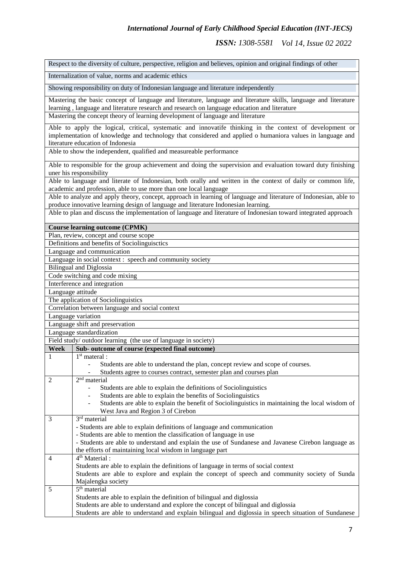|              | Respect to the diversity of culture, perspective, religion and believes, opinion and original findings of other                                                                                                                                            |
|--------------|------------------------------------------------------------------------------------------------------------------------------------------------------------------------------------------------------------------------------------------------------------|
|              | Internalization of value, norms and academic ethics                                                                                                                                                                                                        |
|              | Showing responsibility on duty of Indonesian language and literature independently                                                                                                                                                                         |
|              | Mastering the basic concept of language and literature, language and literature skills, language and literature<br>learning, language and literature research and research on language education and literature                                            |
|              | Mastering the concept theory of learning development of language and literature                                                                                                                                                                            |
|              | Able to apply the logical, critical, systematic and innovatife thinking in the context of development or<br>implementation of knowledge and technology that considered and applied o humaniora values in language and<br>literature education of Indonesia |
|              | Able to show the independent, qualified and measureable performance                                                                                                                                                                                        |
|              | Able to responsible for the group achievement and doing the supervision and evaluation toward duty finishing<br>uner his responsibility                                                                                                                    |
|              | Able to language and literate of Indonesian, both orally and written in the context of daily or common life,<br>academic and profession, able to use more than one local language                                                                          |
|              | Able to analyze and apply theory, concept, approach in learning of language and literature of Indonesian, able to<br>produce innovative learning design of language and literature Indonesian learning.                                                    |
|              | Able to plan and discuss the implementation of language and literature of Indonesian toward integrated approach                                                                                                                                            |
|              | <b>Course learning outcome (CPMK)</b>                                                                                                                                                                                                                      |
|              | Plan, review, concept and course scope                                                                                                                                                                                                                     |
|              | Definitions and benefits of Sociolinguisctics                                                                                                                                                                                                              |
|              | Language and communication                                                                                                                                                                                                                                 |
|              | Language in social context : speech and community society                                                                                                                                                                                                  |
|              | <b>Bilingual and Diglossia</b><br>Code switching and code mixing                                                                                                                                                                                           |
|              | Interference and integration                                                                                                                                                                                                                               |
|              | Language attitude                                                                                                                                                                                                                                          |
|              | The application of Sociolinguistics                                                                                                                                                                                                                        |
|              | Correlation between language and social context                                                                                                                                                                                                            |
|              | Language variation                                                                                                                                                                                                                                         |
|              | Language shift and preservation                                                                                                                                                                                                                            |
|              | Language standardization                                                                                                                                                                                                                                   |
|              | Field study/ outdoor learning (the use of language in society)                                                                                                                                                                                             |
| Week         | Sub- outcome of course (expected final outcome)                                                                                                                                                                                                            |
| $\mathbf{1}$ | $1st$ materal :                                                                                                                                                                                                                                            |
|              | Students are able to understand the plan, concept review and scope of courses.<br>Students agree to courses contract, semester plan and courses plan                                                                                                       |
| 2            | 2 <sup>nd</sup> material<br>Students are able to explain the definitions of Sociolinguistics                                                                                                                                                               |
|              | Students are able to explain the benefits of Sociolinguistics                                                                                                                                                                                              |
|              | Students are able to explain the benefit of Sociolinguistics in maintaining the local wisdom of                                                                                                                                                            |
|              | West Java and Region 3 of Cirebon                                                                                                                                                                                                                          |
| 3            | $\overline{3^{rd}}$ material                                                                                                                                                                                                                               |
|              | - Students are able to explain definitions of language and communication                                                                                                                                                                                   |
|              | - Students are able to mention the classification of language in use                                                                                                                                                                                       |
|              | - Students are able to understand and explain the use of Sundanese and Javanese Cirebon language as                                                                                                                                                        |
|              | the efforts of maintaining local wisdom in language part                                                                                                                                                                                                   |
| 4            | 4 <sup>th</sup> Material :                                                                                                                                                                                                                                 |
|              | Students are able to explain the definitions of language in terms of social context                                                                                                                                                                        |
|              | Students are able to explore and explain the concept of speech and community society of Sunda                                                                                                                                                              |
|              | Majalengka society                                                                                                                                                                                                                                         |
| 5            | $\overline{5^{th}}$ material                                                                                                                                                                                                                               |
|              | Students are able to explain the definition of bilingual and diglossia                                                                                                                                                                                     |
|              | Students are able to understand and explore the concept of bilingual and diglossia                                                                                                                                                                         |
|              | Students are able to understand and explain bilingual and diglossia in speech situation of Sundanese                                                                                                                                                       |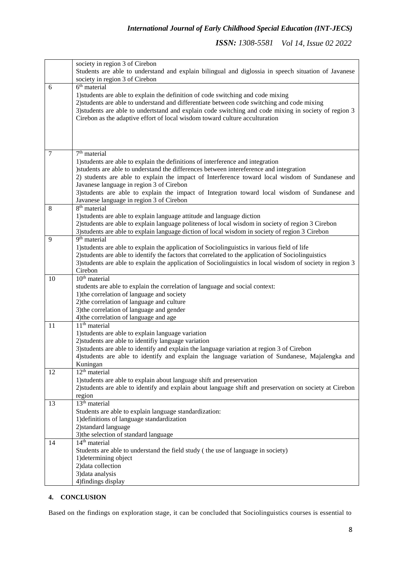|        | society in region 3 of Cirebon                                                                                        |
|--------|-----------------------------------------------------------------------------------------------------------------------|
|        | Students are able to understand and explain bilingual and diglossia in speech situation of Javanese                   |
|        | society in region 3 of Cirebon                                                                                        |
| 6      | $6th$ material                                                                                                        |
|        | 1) students are able to explain the definition of code switching and code mixing                                      |
|        | 2) students are able to understand and differentiate between code switching and code mixing                           |
|        | 3) students are able to undertstand and explain code switching and code mixing in society of region 3                 |
|        | Cirebon as the adaptive effort of local wisdom toward culture acculturation                                           |
|        |                                                                                                                       |
|        |                                                                                                                       |
|        |                                                                                                                       |
| $\tau$ | 7 <sup>th</sup> material                                                                                              |
|        | 1) students are able to explain the definitions of interference and integration                                       |
|        | )students are able to understand the differences between intereference and integration                                |
|        | 2) students are able to explain the impact of Interference toward local wisdom of Sundanese and                       |
|        | Javanese language in region 3 of Cirebon                                                                              |
|        | 3) students are able to explain the impact of Integration toward local wisdom of Sundanese and                        |
|        | Javanese language in region 3 of Cirebon                                                                              |
| 8      | 8 <sup>th</sup> material                                                                                              |
|        | 1) students are able to explain language attitude and language diction                                                |
|        | 2) students are able to explain language politeness of local wisdom in society of region 3 Cirebon                    |
|        | 3) students are able to explain language diction of local wisdom in society of region 3 Cirebon                       |
| 9      | 9 <sup>th</sup> material                                                                                              |
|        | 1) students are able to explain the application of Sociolinguistics in various field of life                          |
|        | 2) students are able to identify the factors that correlated to the application of Sociolinguistics                   |
|        | 3) students are able to explain the application of Sociolinguistics in local wisdom of society in region 3<br>Cirebon |
| 10     | $10th$ material                                                                                                       |
|        | students are able to explain the correlation of language and social context:                                          |
|        | 1) the correlation of language and society                                                                            |
|        | 2) the correlation of language and culture                                                                            |
|        | 3) the correlation of language and gender                                                                             |
|        | 4) the correlation of language and age                                                                                |
| 11     | $11th$ material                                                                                                       |
|        | 1) students are able to explain language variation                                                                    |
|        | 2) students are able to identifiy language variation                                                                  |
|        | 3) students are able to identify and explain the language variation at region 3 of Cirebon                            |
|        | 4) students are able to identify and explain the language variation of Sundanese, Majalengka and                      |
|        | Kuningan                                                                                                              |
| 12     | $12th$ material                                                                                                       |
|        | 1) students are able to explain about language shift and preservation                                                 |
|        | 2) students are able to identify and explain about language shift and preservation on society at Cirebon              |
| 13     | region<br>$13th$ material                                                                                             |
|        | Students are able to explain language standardization:                                                                |
|        | 1) definitions of language standardization                                                                            |
|        | 2) standard language                                                                                                  |
|        | 3) the selection of standard language                                                                                 |
| 14     | 14 <sup>th</sup> material                                                                                             |
|        | Students are able to understand the field study (the use of language in society)                                      |
|        | 1) determining object                                                                                                 |
|        | 2) data collection                                                                                                    |
|        | 3) data analysis                                                                                                      |
|        | 4) findings display                                                                                                   |

## **4. CONCLUSION**

Based on the findings on exploration stage, it can be concluded that Sociolinguistics courses is essential to